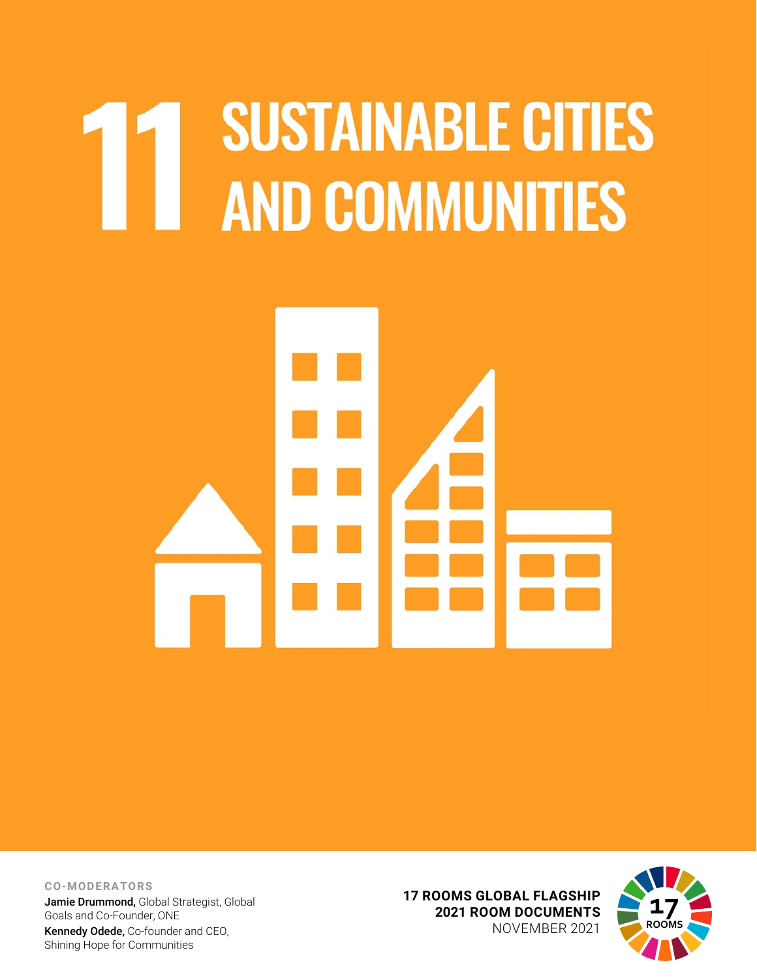## **SUSTAINABLE CITIES** AND COMMUNITIES



**CO-MODERATORS**

Jamie Drummond, Global Strategist, Global Goals and Co-Founder, ONE Kennedy Odede, Co-founder and CEO, Shining Hope for Communities

**17 ROOMS GLOBAL FLAGSHIP 2021 ROOM DOCUMENTS** NOVEMBER 2021

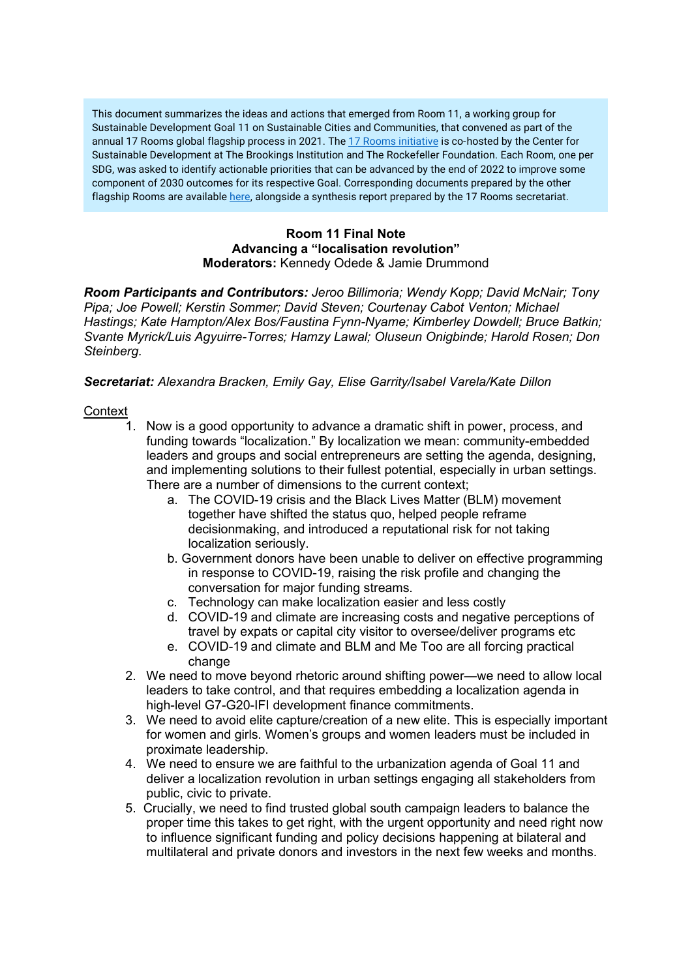This document summarizes the ideas and actions that emerged from Room 11, a working group for Sustainable Development Goal 11 on Sustainable Cities and Communities, that convened as part of the annual [17 Rooms](https://www.brookings.edu/project/17-rooms/) global flagship process in 2021. The 17 Rooms initiative is co-hosted by the Center for Sustainable Development at The Brookings Institution and The Rockefeller Foundation. Each Room, one per SDG, was asked to identify actionable priorities that can be advanced by the end of 2022 to improve some component of 2030 outcomes for its respective Goal. Corresponding documents prepared by the other flagship Rooms are availabl[e here,](http://www.brookings.edu/17rooms2021) alongside a synthesis report prepared by the 17 Rooms secretariat.

## **Room 11 Final Note Advancing a "localisation revolution" Moderators:** Kennedy Odede & Jamie Drummond

*Room Participants and Contributors: Jeroo Billimoria; Wendy Kopp; David McNair; Tony Pipa; Joe Powell; Kerstin Sommer; David Steven; Courtenay Cabot Venton; Michael Hastings; Kate Hampton/Alex Bos/Faustina Fynn-Nyame; Kimberley Dowdell; Bruce Batkin; Svante Myrick/Luis Agyuirre-Torres; Hamzy Lawal; Oluseun Onigbinde; Harold Rosen; Don Steinberg.*

## *Secretariat: Alexandra Bracken, Emily Gay, Elise Garrity/Isabel Varela/Kate Dillon*

## **Context**

- 1. Now is a good opportunity to advance a dramatic shift in power, process, and funding towards "localization." By localization we mean: community-embedded leaders and groups and social entrepreneurs are setting the agenda, designing, and implementing solutions to their fullest potential, especially in urban settings. There are a number of dimensions to the current context;
	- a. The COVID-19 crisis and the Black Lives Matter (BLM) movement together have shifted the status quo, helped people reframe decisionmaking, and introduced a reputational risk for not taking localization seriously.
	- b. Government donors have been unable to deliver on effective programming in response to COVID-19, raising the risk profile and changing the conversation for major funding streams.
	- c. Technology can make localization easier and less costly
	- d. COVID-19 and climate are increasing costs and negative perceptions of travel by expats or capital city visitor to oversee/deliver programs etc
	- e. COVID-19 and climate and BLM and Me Too are all forcing practical change
- 2. We need to move beyond rhetoric around shifting power—we need to allow local leaders to take control, and that requires embedding a localization agenda in high-level G7-G20-IFI development finance commitments.
- 3. We need to avoid elite capture/creation of a new elite. This is especially important for women and girls. Women's groups and women leaders must be included in proximate leadership.
- 4. We need to ensure we are faithful to the urbanization agenda of Goal 11 and deliver a localization revolution in urban settings engaging all stakeholders from public, civic to private.
- 5. Crucially, we need to find trusted global south campaign leaders to balance the proper time this takes to get right, with the urgent opportunity and need right now to influence significant funding and policy decisions happening at bilateral and multilateral and private donors and investors in the next few weeks and months.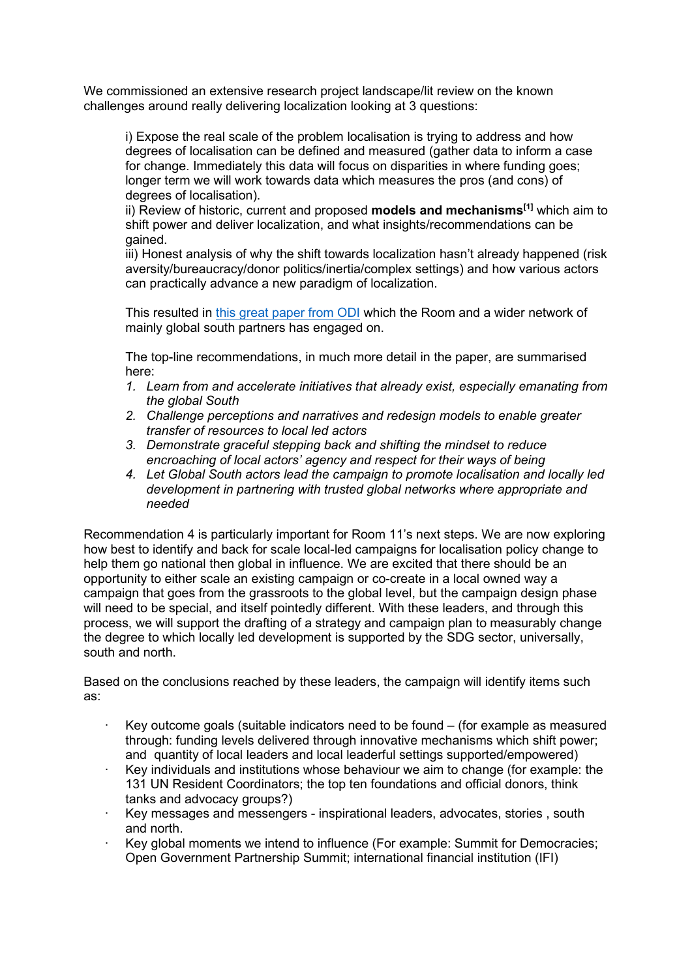We commissioned an extensive research project landscape/lit review on the known challenges around really delivering localization looking at 3 questions:

i) Expose the real scale of the problem localisation is trying to address and how degrees of localisation can be defined and measured (gather data to inform a case for change. Immediately this data will focus on disparities in where funding goes; longer term we will work towards data which measures the pros (and cons) of degrees of localisation).

ii) Review of historic, current and proposed **models and mechanisms[1]** which aim to shift power and deliver localization, and what insights/recommendations can be gained.

iii) Honest analysis of why the shift towards localization hasn't already happened (risk aversity/bureaucracy/donor politics/inertia/complex settings) and how various actors can practically advance a new paradigm of localization.

This resulted in [this great paper from ODI](https://cdn.odi.org/media/documents/ODI-SH-Localisation-Report-Oct21-Proof06.pdf) which the Room and a wider network of mainly global south partners has engaged on.

The top-line recommendations, in much more detail in the paper, are summarised here:

- *1. Learn from and accelerate initiatives that already exist, especially emanating from the global South*
- *2. Challenge perceptions and narratives and redesign models to enable greater transfer of resources to local led actors*
- *3. Demonstrate graceful stepping back and shifting the mindset to reduce encroaching of local actors' agency and respect for their ways of being*
- *4. Let Global South actors lead the campaign to promote localisation and locally led development in partnering with trusted global networks where appropriate and needed*

Recommendation 4 is particularly important for Room 11's next steps. We are now exploring how best to identify and back for scale local-led campaigns for localisation policy change to help them go national then global in influence. We are excited that there should be an opportunity to either scale an existing campaign or co-create in a local owned way a campaign that goes from the grassroots to the global level, but the campaign design phase will need to be special, and itself pointedly different. With these leaders, and through this process, we will support the drafting of a strategy and campaign plan to measurably change the degree to which locally led development is supported by the SDG sector, universally, south and north.

Based on the conclusions reached by these leaders, the campaign will identify items such as:

- · Key outcome goals (suitable indicators need to be found (for example as measured through: funding levels delivered through innovative mechanisms which shift power; and quantity of local leaders and local leaderful settings supported/empowered)
- · Key individuals and institutions whose behaviour we aim to change (for example: the 131 UN Resident Coordinators; the top ten foundations and official donors, think tanks and advocacy groups?)
- · Key messages and messengers inspirational leaders, advocates, stories , south and north.
- Key global moments we intend to influence (For example: Summit for Democracies; Open Government Partnership Summit; international financial institution (IFI)